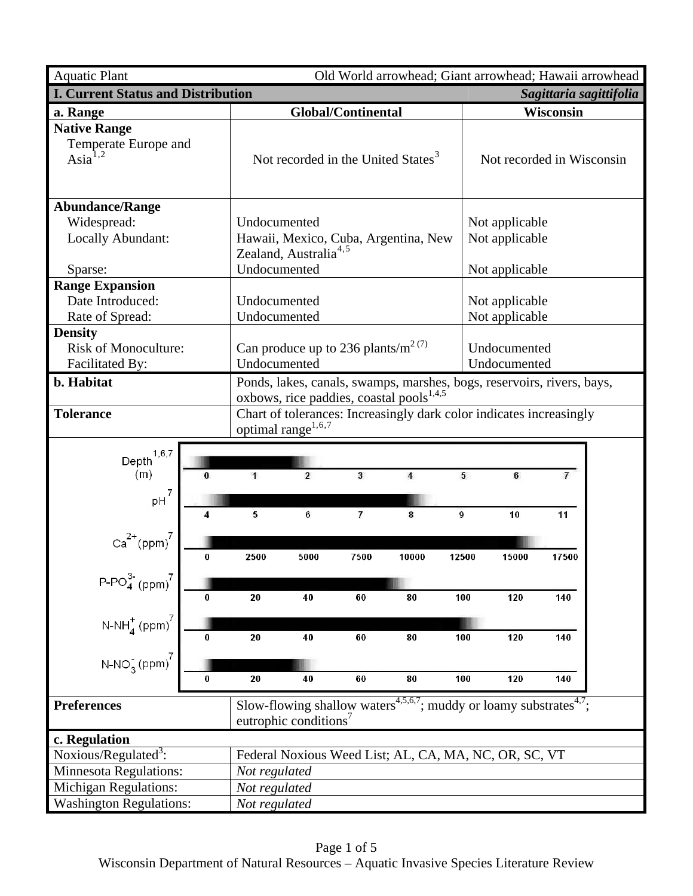| <b>Aquatic Plant</b>                                                    |               |                                                                                                                                                                                                       |                |                                                       |       |                                  | Old World arrowhead; Giant arrowhead; Hawaii arrowhead |  |
|-------------------------------------------------------------------------|---------------|-------------------------------------------------------------------------------------------------------------------------------------------------------------------------------------------------------|----------------|-------------------------------------------------------|-------|----------------------------------|--------------------------------------------------------|--|
| <b>I. Current Status and Distribution</b><br>Sagittaria sagittifolia    |               |                                                                                                                                                                                                       |                |                                                       |       |                                  |                                                        |  |
| a. Range                                                                |               | <b>Global/Continental</b>                                                                                                                                                                             |                |                                                       |       | Wisconsin                        |                                                        |  |
| <b>Native Range</b><br>Temperate Europe and<br>Asi $a^{1,2}$            |               | Not recorded in the United States <sup>3</sup>                                                                                                                                                        |                |                                                       |       | Not recorded in Wisconsin        |                                                        |  |
| <b>Abundance/Range</b><br>Widespread:<br>Locally Abundant:              |               | Undocumented<br>Hawaii, Mexico, Cuba, Argentina, New<br>Zealand, Australia <sup>4,5</sup>                                                                                                             |                |                                                       |       | Not applicable<br>Not applicable |                                                        |  |
| Sparse:                                                                 |               | Undocumented                                                                                                                                                                                          |                |                                                       |       | Not applicable                   |                                                        |  |
| <b>Range Expansion</b><br>Date Introduced:<br>Rate of Spread:           |               | Undocumented<br>Undocumented                                                                                                                                                                          |                |                                                       |       | Not applicable<br>Not applicable |                                                        |  |
| <b>Density</b><br><b>Risk of Monoculture:</b><br><b>Facilitated By:</b> |               | Can produce up to 236 plants/ $m^{2(7)}$<br>Undocumented                                                                                                                                              |                |                                                       |       | Undocumented<br>Undocumented     |                                                        |  |
| b. Habitat<br><b>Tolerance</b>                                          |               | Ponds, lakes, canals, swamps, marshes, bogs, reservoirs, rivers, bays,<br>oxbows, rice paddies, coastal pools <sup>1,4,5</sup><br>Chart of tolerances: Increasingly dark color indicates increasingly |                |                                                       |       |                                  |                                                        |  |
| 1, 6, 7<br>Depth<br>(m)<br>$\bf{0}$                                     | $\mathbf{1}$  | optimal range $^{1,6,7}$<br>$\overline{2}$                                                                                                                                                            | 3              | 4                                                     | 5     | 6                                | $\overline{7}$                                         |  |
| $pH^7$<br>4<br>$Ca^{2+} (ppm)^7$                                        | 5             | 6                                                                                                                                                                                                     | $\overline{7}$ | 8                                                     | 9     | 10                               | 11                                                     |  |
| 0                                                                       | 2500          | 5000                                                                                                                                                                                                  | 7500           | 10000                                                 | 12500 | 15000                            | 17500                                                  |  |
| 0                                                                       | 20            | 40                                                                                                                                                                                                    | 60             | 80                                                    | 100   | 120                              | 140                                                    |  |
| $P-PO_4^{3-} (ppm)^7$<br>$N-NH_4^+ (ppm)^7$<br>$N-NO_3^-(ppm)^7$<br>0   | 20            | 40                                                                                                                                                                                                    | 60             | 80                                                    | 100   | 120                              | 140                                                    |  |
| 0<br><b>Preferences</b>                                                 |               | 20<br>60<br>100<br>120<br>40<br>80<br>140<br>Slow-flowing shallow waters <sup>4,5,6,7</sup> ; muddy or loamy substrates <sup>4,7</sup> ;<br>eutrophic conditions <sup>7</sup>                         |                |                                                       |       |                                  |                                                        |  |
| c. Regulation                                                           |               |                                                                                                                                                                                                       |                |                                                       |       |                                  |                                                        |  |
| Noxious/Regulated <sup>3</sup> :                                        |               |                                                                                                                                                                                                       |                | Federal Noxious Weed List; AL, CA, MA, NC, OR, SC, VT |       |                                  |                                                        |  |
| <b>Minnesota Regulations:</b>                                           |               | Not regulated                                                                                                                                                                                         |                |                                                       |       |                                  |                                                        |  |
| Michigan Regulations:                                                   |               | Not regulated                                                                                                                                                                                         |                |                                                       |       |                                  |                                                        |  |
| <b>Washington Regulations:</b>                                          | Not regulated |                                                                                                                                                                                                       |                |                                                       |       |                                  |                                                        |  |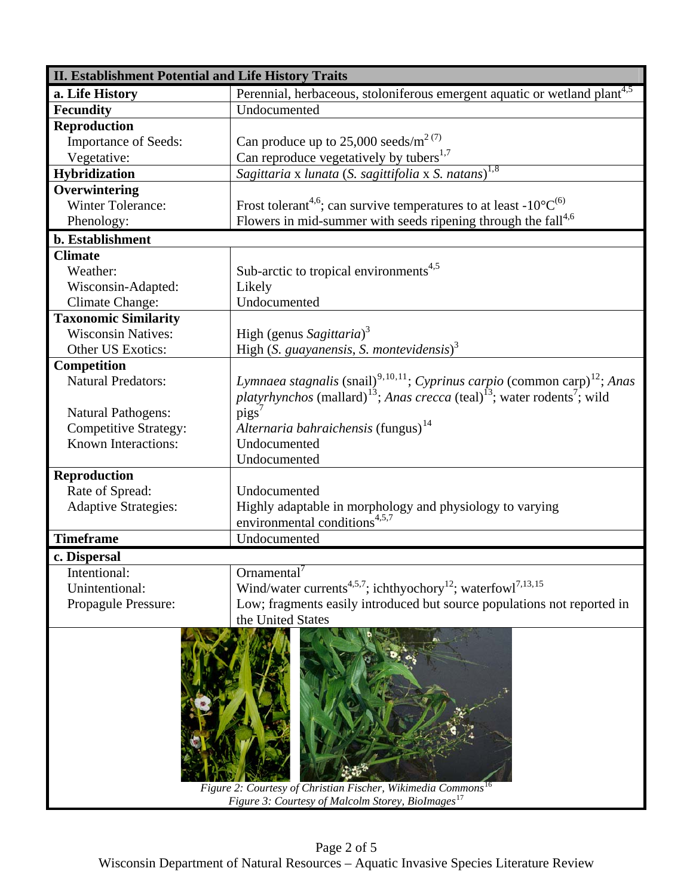| <b>II. Establishment Potential and Life History Traits</b>                                                                                |                                                                                                                     |  |  |  |
|-------------------------------------------------------------------------------------------------------------------------------------------|---------------------------------------------------------------------------------------------------------------------|--|--|--|
| a. Life History                                                                                                                           | Perennial, herbaceous, stoloniferous emergent aquatic or wetland plant <sup>4,5</sup>                               |  |  |  |
| <b>Fecundity</b>                                                                                                                          | Undocumented                                                                                                        |  |  |  |
| <b>Reproduction</b>                                                                                                                       |                                                                                                                     |  |  |  |
| <b>Importance of Seeds:</b>                                                                                                               | Can produce up to 25,000 seeds/ $m^{2(7)}$                                                                          |  |  |  |
| Vegetative:                                                                                                                               | Can reproduce vegetatively by tubers <sup>1,7</sup>                                                                 |  |  |  |
| Hybridization                                                                                                                             | Sagittaria x lunata (S. sagittifolia x S. natans) <sup>1,8</sup>                                                    |  |  |  |
| Overwintering                                                                                                                             |                                                                                                                     |  |  |  |
| <b>Winter Tolerance:</b>                                                                                                                  | Frost tolerant <sup>4,6</sup> ; can survive temperatures to at least -10 $^{\circ}$ C <sup>(6)</sup>                |  |  |  |
| Phenology:                                                                                                                                | Flowers in mid-summer with seeds ripening through the $fall4,6$                                                     |  |  |  |
| b. Establishment                                                                                                                          |                                                                                                                     |  |  |  |
| <b>Climate</b>                                                                                                                            |                                                                                                                     |  |  |  |
| Weather:                                                                                                                                  | Sub-arctic to tropical environments <sup>4,5</sup>                                                                  |  |  |  |
| Wisconsin-Adapted:                                                                                                                        | Likely                                                                                                              |  |  |  |
| Climate Change:                                                                                                                           | Undocumented                                                                                                        |  |  |  |
| <b>Taxonomic Similarity</b>                                                                                                               |                                                                                                                     |  |  |  |
| <b>Wisconsin Natives:</b>                                                                                                                 | High (genus Sagittaria) <sup>3</sup>                                                                                |  |  |  |
| Other US Exotics:                                                                                                                         | High $(S.$ guayanensis, S. montevidensis) $3$                                                                       |  |  |  |
| Competition                                                                                                                               |                                                                                                                     |  |  |  |
| <b>Natural Predators:</b>                                                                                                                 | Lymnaea stagnalis (snail) <sup>9,10,11</sup> ; Cyprinus carpio (common carp) <sup>12</sup> ; Anas                   |  |  |  |
|                                                                                                                                           | <i>platyrhynchos</i> (mallard) <sup>13</sup> ; Anas crecca (teal) <sup>13</sup> ; water rodents <sup>7</sup> ; wild |  |  |  |
| <b>Natural Pathogens:</b>                                                                                                                 | pigs <sup>7</sup>                                                                                                   |  |  |  |
| <b>Competitive Strategy:</b>                                                                                                              | Alternaria bahraichensis (fungus) <sup>14</sup>                                                                     |  |  |  |
| Known Interactions:                                                                                                                       | Undocumented                                                                                                        |  |  |  |
|                                                                                                                                           | Undocumented                                                                                                        |  |  |  |
| <b>Reproduction</b>                                                                                                                       |                                                                                                                     |  |  |  |
| Rate of Spread:                                                                                                                           | Undocumented                                                                                                        |  |  |  |
| <b>Adaptive Strategies:</b>                                                                                                               | Highly adaptable in morphology and physiology to varying                                                            |  |  |  |
|                                                                                                                                           | environmental conditions <sup>4,5,7</sup>                                                                           |  |  |  |
| <b>Timeframe</b>                                                                                                                          | Undocumented                                                                                                        |  |  |  |
| c. Dispersal                                                                                                                              |                                                                                                                     |  |  |  |
| Intentional:                                                                                                                              | Ornamental <sup>7</sup>                                                                                             |  |  |  |
| Unintentional:                                                                                                                            | Wind/water currents <sup>4,5,7</sup> ; ichthyochory <sup>12</sup> ; waterfowl <sup>7,13,15</sup>                    |  |  |  |
| Propagule Pressure:                                                                                                                       | Low; fragments easily introduced but source populations not reported in                                             |  |  |  |
|                                                                                                                                           | the United States                                                                                                   |  |  |  |
| Figure 2: Courtesy of Christian Fischer, Wikimedia Commons <sup>16</sup><br>Figure 3: Courtesy of Malcolm Storey, BioImages <sup>17</sup> |                                                                                                                     |  |  |  |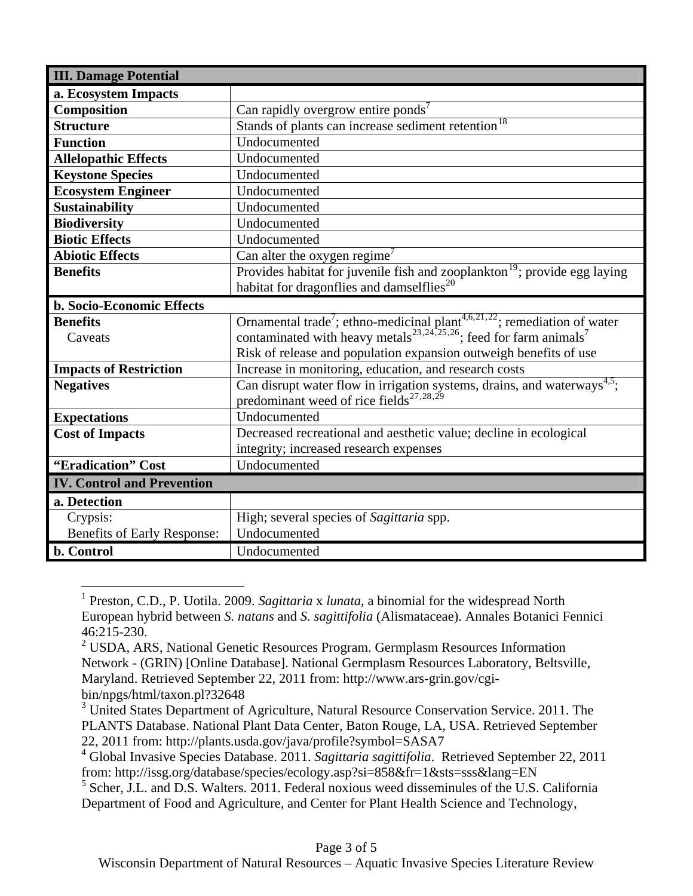| <b>III. Damage Potential</b>      |                                                                                                   |  |  |  |  |
|-----------------------------------|---------------------------------------------------------------------------------------------------|--|--|--|--|
| a. Ecosystem Impacts              |                                                                                                   |  |  |  |  |
| Composition                       | Can rapidly overgrow entire ponds'                                                                |  |  |  |  |
| <b>Structure</b>                  | Stands of plants can increase sediment retention <sup>18</sup>                                    |  |  |  |  |
| <b>Function</b>                   | Undocumented                                                                                      |  |  |  |  |
| <b>Allelopathic Effects</b>       | Undocumented                                                                                      |  |  |  |  |
| <b>Keystone Species</b>           | Undocumented                                                                                      |  |  |  |  |
| <b>Ecosystem Engineer</b>         | Undocumented                                                                                      |  |  |  |  |
| <b>Sustainability</b>             | Undocumented                                                                                      |  |  |  |  |
| <b>Biodiversity</b>               | Undocumented                                                                                      |  |  |  |  |
| <b>Biotic Effects</b>             | Undocumented                                                                                      |  |  |  |  |
| <b>Abiotic Effects</b>            | Can alter the oxygen regime <sup>7</sup>                                                          |  |  |  |  |
| <b>Benefits</b>                   | Provides habitat for juvenile fish and zooplankton <sup>19</sup> ; provide egg laying             |  |  |  |  |
|                                   | habitat for dragonflies and damselflies <sup>20</sup>                                             |  |  |  |  |
| <b>b. Socio-Economic Effects</b>  |                                                                                                   |  |  |  |  |
| <b>Benefits</b>                   | Ornamental trade <sup>7</sup> ; ethno-medicinal plant <sup>4,6,21,22</sup> ; remediation of water |  |  |  |  |
| Caveats                           | contaminated with heavy metals <sup>23,24,25,26</sup> ; feed for farm animals <sup>7</sup>        |  |  |  |  |
|                                   | Risk of release and population expansion outweigh benefits of use                                 |  |  |  |  |
| <b>Impacts of Restriction</b>     | Increase in monitoring, education, and research costs                                             |  |  |  |  |
| <b>Negatives</b>                  | Can disrupt water flow in irrigation systems, drains, and waterways <sup>4,5</sup> ;              |  |  |  |  |
|                                   | predominant weed of rice fields <sup>27,28,29</sup>                                               |  |  |  |  |
| <b>Expectations</b>               | Undocumented                                                                                      |  |  |  |  |
| <b>Cost of Impacts</b>            | Decreased recreational and aesthetic value; decline in ecological                                 |  |  |  |  |
|                                   | integrity; increased research expenses                                                            |  |  |  |  |
| "Eradication" Cost                | Undocumented                                                                                      |  |  |  |  |
| <b>IV. Control and Prevention</b> |                                                                                                   |  |  |  |  |
| a. Detection                      |                                                                                                   |  |  |  |  |
| Crypsis:                          | High; several species of Sagittaria spp.                                                          |  |  |  |  |
| Benefits of Early Response:       | Undocumented                                                                                      |  |  |  |  |
| b. Control                        | Undocumented                                                                                      |  |  |  |  |

<span id="page-2-0"></span> 1 Preston, C.D., P. Uotila. 2009. *Sagittaria* x *lunata*, a binomial for the widespread North European hybrid between *S. natans* and *S. sagittifolia* (Alismataceae). Annales Botanici Fennici 46:215-230.

<span id="page-2-1"></span> $2^2$  USDA, ARS, National Genetic Resources Program. Germplasm Resources Information Network - (GRIN) [Online Database]. National Germplasm Resources Laboratory, Beltsville, Maryland. Retrieved September 22, 2011 from: http://www.ars-grin.gov/cgibin/npgs/html/taxon.pl?32648

<span id="page-2-2"></span><sup>&</sup>lt;sup>3</sup> United States Department of Agriculture, Natural Resource Conservation Service. 2011. The PLANTS Database. National Plant Data Center, Baton Rouge, LA, USA. Retrieved September 22, 2011 from: http://plants.usda.gov/java/profile?symbol=SASA7

<span id="page-2-3"></span><sup>4</sup> Global Invasive Species Database. 2011. *Sagittaria sagittifolia*. Retrieved September 22, 2011 from: http://issg.org/database/species/ecology.asp?si=858&fr=1&sts=sss&lang=EN

<span id="page-2-4"></span><sup>&</sup>lt;sup>5</sup> Scher, J.L. and D.S. Walters. 2011. Federal noxious weed disseminules of the U.S. California Department of Food and Agriculture, and Center for Plant Health Science and Technology,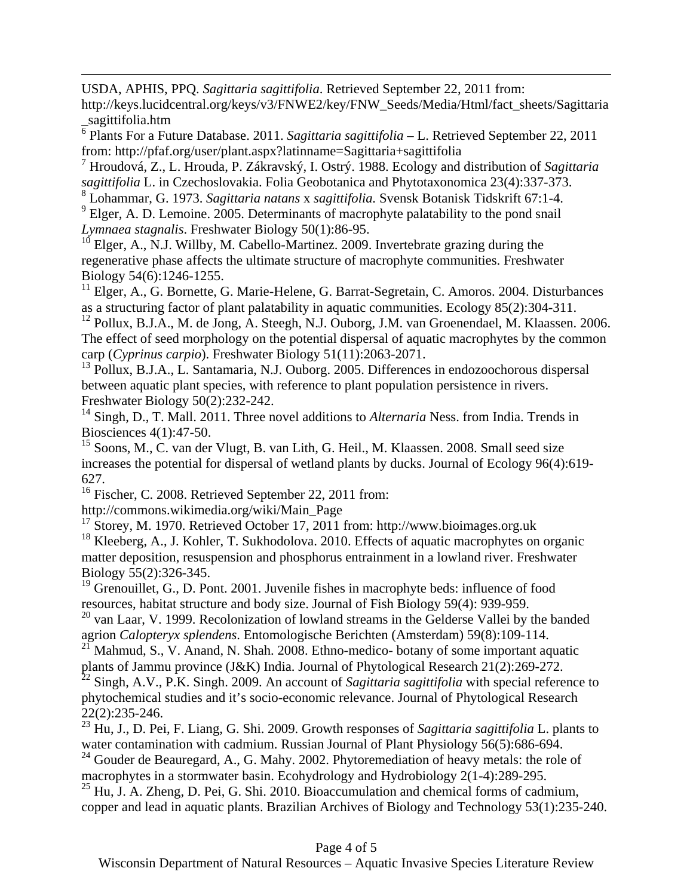USDA, APHIS, PPQ. *Sagittaria sagittifolia*. Retrieved September 22, 2011 from:

http://keys.lucidcentral.org/keys/v3/FNWE2/key/FNW\_Seeds/Media/Html/fact\_sheets/Sagittaria \_sagittifolia.htm

<span id="page-3-0"></span>6 Plants For a Future Database. 2011. *Sagittaria sagittifolia* – L. Retrieved September 22, 2011 from: http://pfaf.org/user/plant.aspx?latinname=Sagittaria+sagittifolia

<span id="page-3-1"></span>7 Hroudová, Z., L. Hrouda, P. Zákravský, I. Ostrý. 1988. Ecology and distribution of *Sagittaria sagittifolia* L. in Czechoslovakia. Folia Geobotanica and Phytotaxonomica 23(4):337-373.

8 Lohammar, G. 1973. *Sagittaria natans* x *sagittifolia.* Svensk Botanisk Tidskrift 67:1-4.

<span id="page-3-3"></span><span id="page-3-2"></span> $9^9$  Elger, A. D. Lemoine. 2005. Determinants of macrophyte palatability to the pond snail *Lymnaea stagnalis*. Freshwater Biology 50(1):86-95.

<span id="page-3-4"></span> $10^{10}$  Elger, A., N.J. Willby, M. Cabello-Martinez. 2009. Invertebrate grazing during the regenerative phase affects the ultimate structure of macrophyte communities. Freshwater Biology 54(6):1246-1255.

<span id="page-3-5"></span><sup>11</sup> Elger, A., G. Bornette, G. Marie-Helene, G. Barrat-Segretain, C. Amoros. 2004. Disturbances as a structuring factor of plant palatability in aquatic communities. Ecology 85(2):304-311.

<span id="page-3-6"></span><sup>12</sup> Pollux, B.J.A., M. de Jong, A. Steegh, N.J. Ouborg, J.M. van Groenendael, M. Klaassen. 2006. The effect of seed morphology on the potential dispersal of aquatic macrophytes by the common carp (*Cyprinus carpio*). Freshwater Biology 51(11):2063-2071.

<span id="page-3-7"></span><sup>13</sup> Pollux, B.J.A., L. Santamaria, N.J. Ouborg. 2005. Differences in endozoochorous dispersal between aquatic plant species, with reference to plant population persistence in rivers. Freshwater Biology 50(2):232-242.

<sup>14</sup> Singh, D., T. Mall. 2011. Three novel additions to *Alternaria* Ness. from India. Trends in Biosciences 4(1):47-50.

<sup>15</sup> Soons, M., C. van der Vlugt, B. van Lith, G. Heil., M. Klaassen. 2008. Small seed size increases the potential for dispersal of wetland plants by ducks. Journal of Ecology 96(4):619- 627.

16 Fischer, C. 2008. Retrieved September 22, 2011 from:

http://commons.wikimedia.org/wiki/Main\_Page

1

<span id="page-3-8"></span>17 Storey, M. 1970. Retrieved October 17, 2011 from: http://www.bioimages.org.uk <sup>18</sup> Kleeberg, A., J. Kohler, T. Sukhodolova. 2010. Effects of aquatic macrophytes on organic matter deposition, resuspension and phosphorus entrainment in a lowland river. Freshwater Biology 55(2):326-345.

<span id="page-3-9"></span><sup>19</sup> Grenouillet, G., D. Pont. 2001. Juvenile fishes in macrophyte beds: influence of food resources, habitat structure and body size. Journal of Fish Biology 59(4): 939-959.

<span id="page-3-10"></span><sup>20</sup> van Laar, V. 1999. Recolonization of lowland streams in the Gelderse Vallei by the banded agrion *Calopteryx splendens*. Entomologische Berichten (Amsterdam) 59(8):109-114.

<span id="page-3-11"></span><sup>21</sup> Mahmud, S., V. Anand, N. Shah. 2008. Ethno-medico- botany of some important aquatic plants of Jammu province (J&K) India. Journal of Phytological Research 21(2):269-272.

<span id="page-3-12"></span><sup>22</sup> Singh, A.V., P.K. Singh. 2009. An account of *Sagittaria sagittifolia* with special reference to phytochemical studies and it's socio-economic relevance. Journal of Phytological Research 22(2):235-246.

<span id="page-3-13"></span>23 Hu, J., D. Pei, F. Liang, G. Shi. 2009. Growth responses of *Sagittaria sagittifolia* L. plants to water contamination with cadmium. Russian Journal of Plant Physiology 56(5):686-694.  $24$  Gouder de Beauregard, A., G. Mahy. 2002. Phytoremediation of heavy metals: the role of macrophytes in a stormwater basin. Ecohydrology and Hydrobiology 2(1-4):289-295.

<span id="page-3-15"></span><span id="page-3-14"></span> $^{25}$  Hu, J. A. Zheng, D. Pei, G. Shi. 2010. Bioaccumulation and chemical forms of cadmium, copper and lead in aquatic plants. Brazilian Archives of Biology and Technology 53(1):235-240.